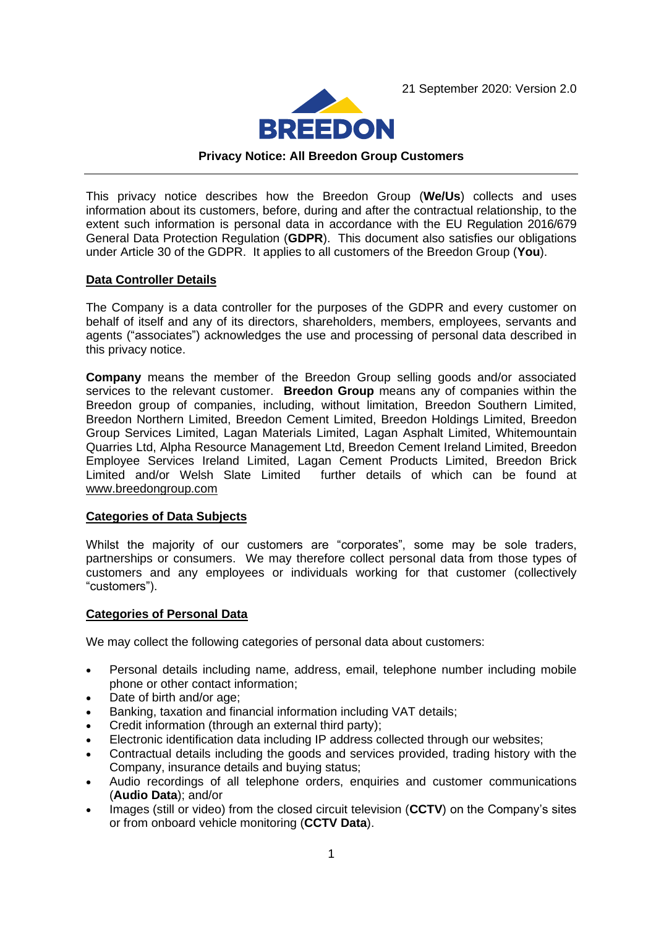21 September 2020: Version 2.0



#### **Privacy Notice: All Breedon Group Customers**

This privacy notice describes how the Breedon Group (**We/Us**) collects and uses information about its customers, before, during and after the contractual relationship, to the extent such information is personal data in accordance with the EU Regulation 2016/679 General Data Protection Regulation (**GDPR**). This document also satisfies our obligations under Article 30 of the GDPR. It applies to all customers of the Breedon Group (**You**).

#### **Data Controller Details**

The Company is a data controller for the purposes of the GDPR and every customer on behalf of itself and any of its directors, shareholders, members, employees, servants and agents ("associates") acknowledges the use and processing of personal data described in this privacy notice.

**Company** means the member of the Breedon Group selling goods and/or associated services to the relevant customer. **Breedon Group** means any of companies within the Breedon group of companies, including, without limitation, Breedon Southern Limited, Breedon Northern Limited, Breedon Cement Limited, Breedon Holdings Limited, Breedon Group Services Limited, Lagan Materials Limited, Lagan Asphalt Limited, Whitemountain Quarries Ltd, Alpha Resource Management Ltd, Breedon Cement Ireland Limited, Breedon Employee Services Ireland Limited, Lagan Cement Products Limited, Breedon Brick Limited and/or Welsh Slate Limited further details of which can be found at [www.breedongroup.com](http://www.breedongroup.com/)

#### **Categories of Data Subjects**

Whilst the majority of our customers are "corporates", some may be sole traders, partnerships or consumers. We may therefore collect personal data from those types of customers and any employees or individuals working for that customer (collectively "customers").

#### **Categories of Personal Data**

We may collect the following categories of personal data about customers:

- Personal details including name, address, email, telephone number including mobile phone or other contact information;
- Date of birth and/or age;
- Banking, taxation and financial information including VAT details;
- Credit information (through an external third party);
- Electronic identification data including IP address collected through our websites;
- Contractual details including the goods and services provided, trading history with the Company, insurance details and buying status;
- Audio recordings of all telephone orders, enquiries and customer communications (**Audio Data**); and/or
- Images (still or video) from the closed circuit television (**CCTV**) on the Company's sites or from onboard vehicle monitoring (**CCTV Data**).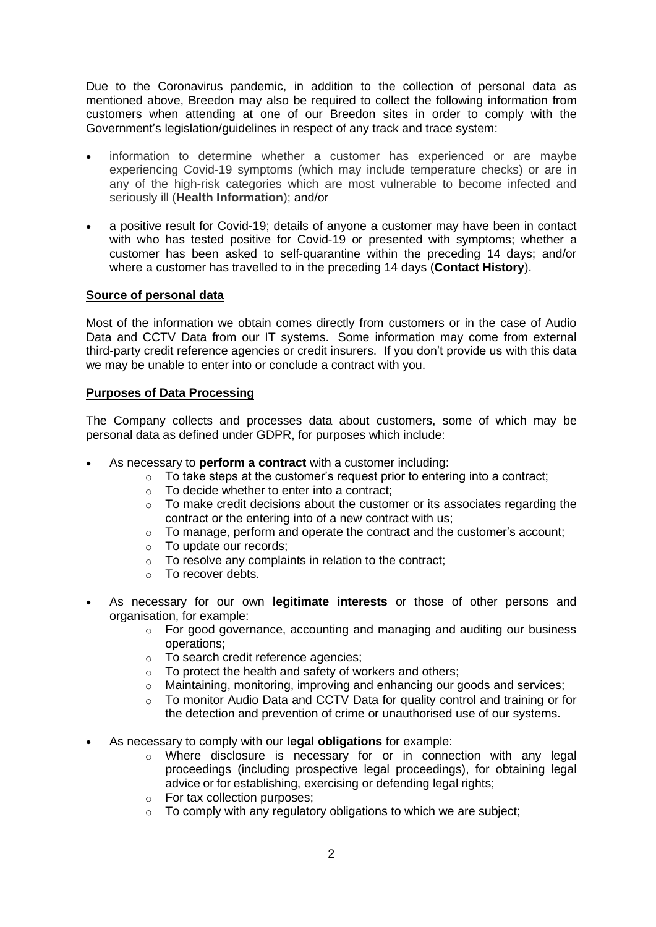Due to the Coronavirus pandemic, in addition to the collection of personal data as mentioned above, Breedon may also be required to collect the following information from customers when attending at one of our Breedon sites in order to comply with the Government's legislation/guidelines in respect of any track and trace system:

- information to determine whether a customer has experienced or are maybe experiencing Covid-19 symptoms (which may include temperature checks) or are in any of the high-risk categories which are most vulnerable to become infected and seriously ill (**Health Information**); and/or
- a positive result for Covid-19; details of anyone a customer may have been in contact with who has tested positive for Covid-19 or presented with symptoms; whether a customer has been asked to self-quarantine within the preceding 14 days; and/or where a customer has travelled to in the preceding 14 days (**Contact History**).

# **Source of personal data**

Most of the information we obtain comes directly from customers or in the case of Audio Data and CCTV Data from our IT systems. Some information may come from external third-party credit reference agencies or credit insurers. If you don't provide us with this data we may be unable to enter into or conclude a contract with you.

## **Purposes of Data Processing**

The Company collects and processes data about customers, some of which may be personal data as defined under GDPR, for purposes which include:

- As necessary to **perform a contract** with a customer including:
	- o To take steps at the customer's request prior to entering into a contract;
	- $\circ$  To decide whether to enter into a contract:
	- $\circ$  To make credit decisions about the customer or its associates regarding the contract or the entering into of a new contract with us;
	- o To manage, perform and operate the contract and the customer's account;
	- o To update our records;
	- o To resolve any complaints in relation to the contract;
	- o To recover debts.
- As necessary for our own **legitimate interests** or those of other persons and organisation, for example:
	- $\circ$  For good governance, accounting and managing and auditing our business operations;
	- o To search credit reference agencies;
	- $\circ$  To protect the health and safety of workers and others;
	- $\circ$  Maintaining, monitoring, improving and enhancing our goods and services;
	- o To monitor Audio Data and CCTV Data for quality control and training or for the detection and prevention of crime or unauthorised use of our systems.
- As necessary to comply with our **legal obligations** for example:
	- o Where disclosure is necessary for or in connection with any legal proceedings (including prospective legal proceedings), for obtaining legal advice or for establishing, exercising or defending legal rights;
	- o For tax collection purposes;
	- $\circ$  To comply with any regulatory obligations to which we are subject;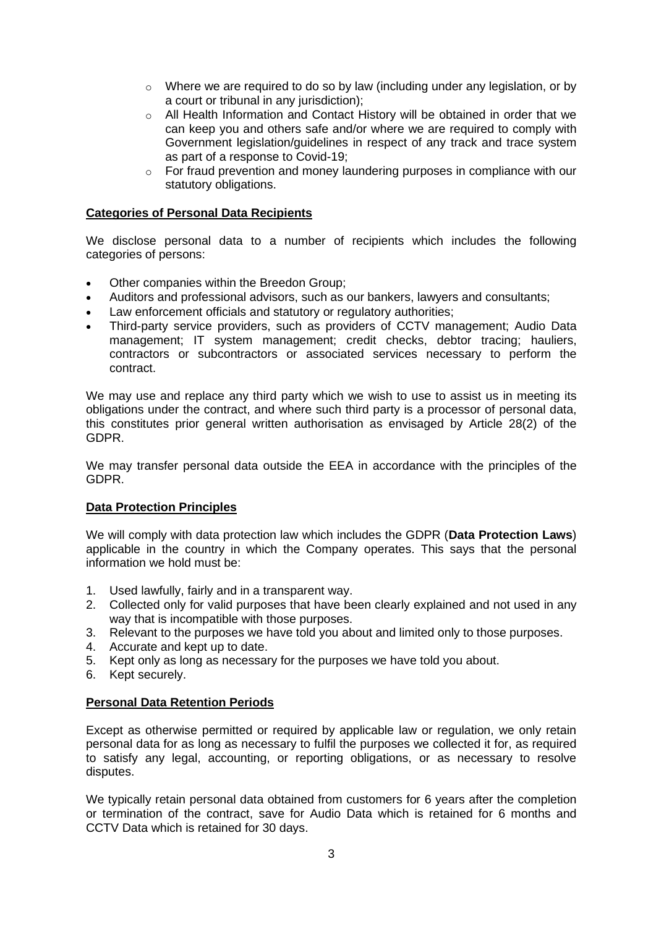- $\circ$  Where we are required to do so by law (including under any legislation, or by a court or tribunal in any jurisdiction);
- $\circ$  All Health Information and Contact History will be obtained in order that we can keep you and others safe and/or where we are required to comply with Government legislation/guidelines in respect of any track and trace system as part of a response to Covid-19;
- $\circ$  For fraud prevention and money laundering purposes in compliance with our statutory obligations.

# **Categories of Personal Data Recipients**

We disclose personal data to a number of recipients which includes the following categories of persons:

- Other companies within the Breedon Group;
- Auditors and professional advisors, such as our bankers, lawyers and consultants;
- Law enforcement officials and statutory or regulatory authorities;
- Third-party service providers, such as providers of CCTV management; Audio Data management; IT system management; credit checks, debtor tracing; hauliers, contractors or subcontractors or associated services necessary to perform the contract.

We may use and replace any third party which we wish to use to assist us in meeting its obligations under the contract, and where such third party is a processor of personal data, this constitutes prior general written authorisation as envisaged by Article 28(2) of the GDPR.

We may transfer personal data outside the EEA in accordance with the principles of the GDPR.

#### **Data Protection Principles**

We will comply with data protection law which includes the GDPR (**Data Protection Laws**) applicable in the country in which the Company operates. This says that the personal information we hold must be:

- 1. Used lawfully, fairly and in a transparent way.
- 2. Collected only for valid purposes that have been clearly explained and not used in any way that is incompatible with those purposes.
- 3. Relevant to the purposes we have told you about and limited only to those purposes.
- 4. Accurate and kept up to date.
- 5. Kept only as long as necessary for the purposes we have told you about.
- 6. Kept securely.

#### **Personal Data Retention Periods**

Except as otherwise permitted or required by applicable law or regulation, we only retain personal data for as long as necessary to fulfil the purposes we collected it for, as required to satisfy any legal, accounting, or reporting obligations, or as necessary to resolve disputes.

We typically retain personal data obtained from customers for 6 years after the completion or termination of the contract, save for Audio Data which is retained for 6 months and CCTV Data which is retained for 30 days.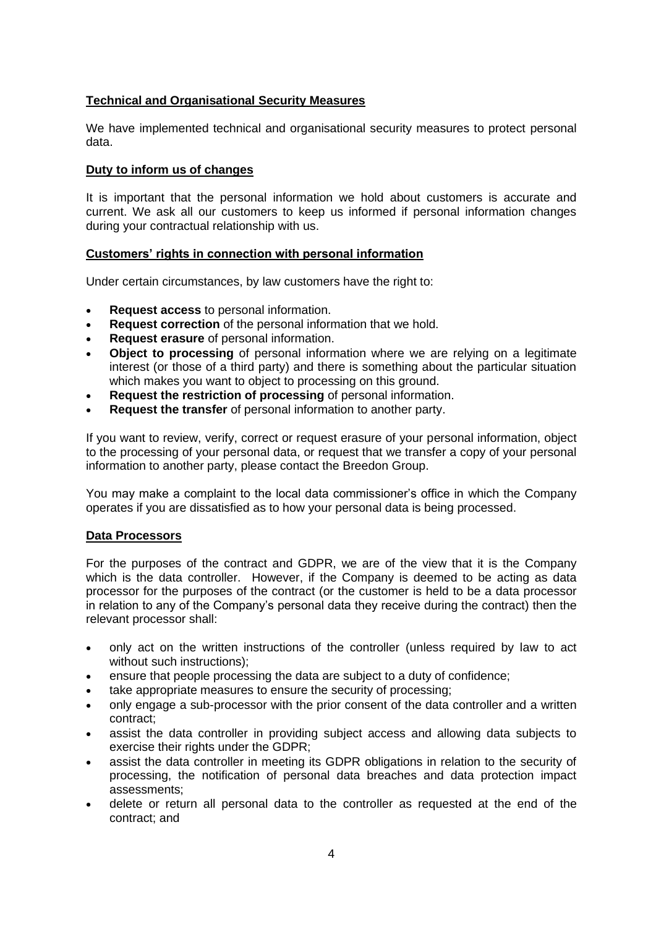# **Technical and Organisational Security Measures**

We have implemented technical and organisational security measures to protect personal data.

## **Duty to inform us of changes**

It is important that the personal information we hold about customers is accurate and current. We ask all our customers to keep us informed if personal information changes during your contractual relationship with us.

## **Customers' rights in connection with personal information**

Under certain circumstances, by law customers have the right to:

- **Request access** to personal information.
- **Request correction** of the personal information that we hold.
- **Request erasure** of personal information.
- **Object to processing** of personal information where we are relying on a legitimate interest (or those of a third party) and there is something about the particular situation which makes you want to object to processing on this ground.
- **Request the restriction of processing** of personal information.
- **Request the transfer** of personal information to another party.

If you want to review, verify, correct or request erasure of your personal information, object to the processing of your personal data, or request that we transfer a copy of your personal information to another party, please contact the Breedon Group.

You may make a complaint to the local data commissioner's office in which the Company operates if you are dissatisfied as to how your personal data is being processed.

#### **Data Processors**

For the purposes of the contract and GDPR, we are of the view that it is the Company which is the data controller. However, if the Company is deemed to be acting as data processor for the purposes of the contract (or the customer is held to be a data processor in relation to any of the Company's personal data they receive during the contract) then the relevant processor shall:

- only act on the written instructions of the controller (unless required by law to act without such instructions);
- ensure that people processing the data are subject to a duty of confidence;
- take appropriate measures to ensure the security of processing;
- only engage a sub-processor with the prior consent of the data controller and a written contract;
- assist the data controller in providing subject access and allowing data subjects to exercise their rights under the GDPR;
- assist the data controller in meeting its GDPR obligations in relation to the security of processing, the notification of personal data breaches and data protection impact assessments;
- delete or return all personal data to the controller as requested at the end of the contract; and